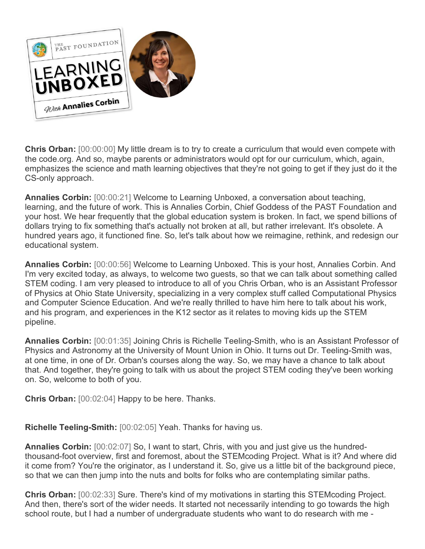

**Chris Orban:** [00:00:00] My little dream is to try to create a curriculum that would even compete with the code.org. And so, maybe parents or administrators would opt for our curriculum, which, again, emphasizes the science and math learning objectives that they're not going to get if they just do it the CS-only approach.

**Annalies Corbin:** [00:00:21] Welcome to Learning Unboxed, a conversation about teaching, learning, and the future of work. This is Annalies Corbin, Chief Goddess of the PAST Foundation and your host. We hear frequently that the global education system is broken. In fact, we spend billions of dollars trying to fix something that's actually not broken at all, but rather irrelevant. It's obsolete. A hundred years ago, it functioned fine. So, let's talk about how we reimagine, rethink, and redesign our educational system.

**Annalies Corbin:** [00:00:56] Welcome to Learning Unboxed. This is your host, Annalies Corbin. And I'm very excited today, as always, to welcome two guests, so that we can talk about something called STEM coding. I am very pleased to introduce to all of you Chris Orban, who is an Assistant Professor of Physics at Ohio State University, specializing in a very complex stuff called Computational Physics and Computer Science Education. And we're really thrilled to have him here to talk about his work, and his program, and experiences in the K12 sector as it relates to moving kids up the STEM pipeline.

**Annalies Corbin:** [00:01:35] Joining Chris is Richelle Teeling-Smith, who is an Assistant Professor of Physics and Astronomy at the University of Mount Union in Ohio. It turns out Dr. Teeling-Smith was, at one time, in one of Dr. Orban's courses along the way. So, we may have a chance to talk about that. And together, they're going to talk with us about the project STEM coding they've been working on. So, welcome to both of you.

**Chris Orban:** [00:02:04] Happy to be here. Thanks.

**Richelle Teeling-Smith:** [00:02:05] Yeah. Thanks for having us.

**Annalies Corbin:** [00:02:07] So, I want to start, Chris, with you and just give us the hundredthousand-foot overview, first and foremost, about the STEMcoding Project. What is it? And where did it come from? You're the originator, as I understand it. So, give us a little bit of the background piece, so that we can then jump into the nuts and bolts for folks who are contemplating similar paths.

**Chris Orban:** [00:02:33] Sure. There's kind of my motivations in starting this STEMcoding Project. And then, there's sort of the wider needs. It started not necessarily intending to go towards the high school route, but I had a number of undergraduate students who want to do research with me -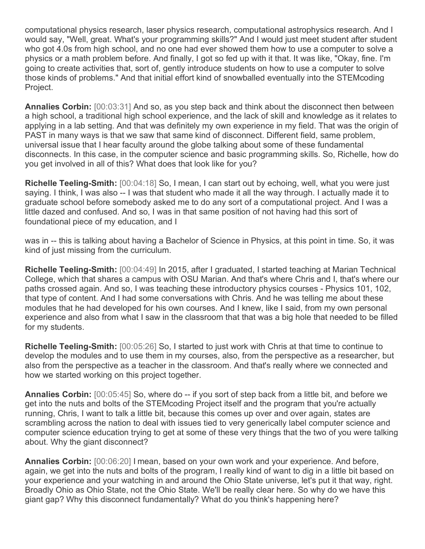computational physics research, laser physics research, computational astrophysics research. And I would say, "Well, great. What's your programming skills?" And I would just meet student after student who got 4.0s from high school, and no one had ever showed them how to use a computer to solve a physics or a math problem before. And finally, I got so fed up with it that. It was like, "Okay, fine. I'm going to create activities that, sort of, gently introduce students on how to use a computer to solve those kinds of problems." And that initial effort kind of snowballed eventually into the STEMcoding Project.

**Annalies Corbin:** [00:03:31] And so, as you step back and think about the disconnect then between a high school, a traditional high school experience, and the lack of skill and knowledge as it relates to applying in a lab setting. And that was definitely my own experience in my field. That was the origin of PAST in many ways is that we saw that same kind of disconnect. Different field, same problem, universal issue that I hear faculty around the globe talking about some of these fundamental disconnects. In this case, in the computer science and basic programming skills. So, Richelle, how do you get involved in all of this? What does that look like for you?

**Richelle Teeling-Smith:** [00:04:18] So, I mean, I can start out by echoing, well, what you were just saying. I think, I was also -- I was that student who made it all the way through. I actually made it to graduate school before somebody asked me to do any sort of a computational project. And I was a little dazed and confused. And so, I was in that same position of not having had this sort of foundational piece of my education, and I

was in -- this is talking about having a Bachelor of Science in Physics, at this point in time. So, it was kind of just missing from the curriculum.

**Richelle Teeling-Smith:** [00:04:49] In 2015, after I graduated, I started teaching at Marian Technical College, which that shares a campus with OSU Marian. And that's where Chris and I, that's where our paths crossed again. And so, I was teaching these introductory physics courses - Physics 101, 102, that type of content. And I had some conversations with Chris. And he was telling me about these modules that he had developed for his own courses. And I knew, like I said, from my own personal experience and also from what I saw in the classroom that that was a big hole that needed to be filled for my students.

**Richelle Teeling-Smith:** [00:05:26] So, I started to just work with Chris at that time to continue to develop the modules and to use them in my courses, also, from the perspective as a researcher, but also from the perspective as a teacher in the classroom. And that's really where we connected and how we started working on this project together.

**Annalies Corbin:** [00:05:45] So, where do -- if you sort of step back from a little bit, and before we get into the nuts and bolts of the STEMcoding Project itself and the program that you're actually running, Chris, I want to talk a little bit, because this comes up over and over again, states are scrambling across the nation to deal with issues tied to very generically label computer science and computer science education trying to get at some of these very things that the two of you were talking about. Why the giant disconnect?

**Annalies Corbin:** [00:06:20] I mean, based on your own work and your experience. And before, again, we get into the nuts and bolts of the program, I really kind of want to dig in a little bit based on your experience and your watching in and around the Ohio State universe, let's put it that way, right. Broadly Ohio as Ohio State, not the Ohio State. We'll be really clear here. So why do we have this giant gap? Why this disconnect fundamentally? What do you think's happening here?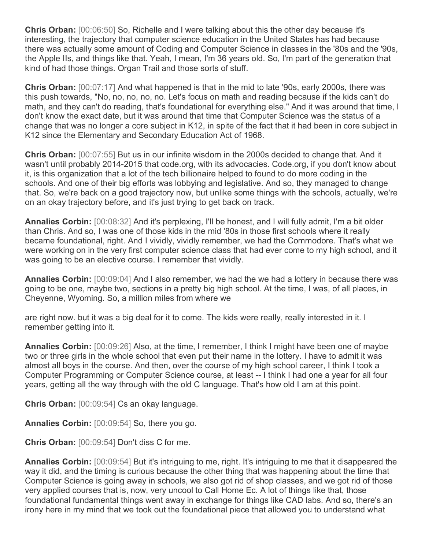**Chris Orban:** [00:06:50] So, Richelle and I were talking about this the other day because it's interesting, the trajectory that computer science education in the United States has had because there was actually some amount of Coding and Computer Science in classes in the '80s and the '90s, the Apple IIs, and things like that. Yeah, I mean, I'm 36 years old. So, I'm part of the generation that kind of had those things. Organ Trail and those sorts of stuff.

**Chris Orban:** [00:07:17] And what happened is that in the mid to late '90s, early 2000s, there was this push towards, "No, no, no, no, no. Let's focus on math and reading because if the kids can't do math, and they can't do reading, that's foundational for everything else." And it was around that time, I don't know the exact date, but it was around that time that Computer Science was the status of a change that was no longer a core subject in K12, in spite of the fact that it had been in core subject in K12 since the Elementary and Secondary Education Act of 1968.

**Chris Orban:** [00:07:55] But us in our infinite wisdom in the 2000s decided to change that. And it wasn't until probably 2014-2015 that code.org, with its advocacies. Code.org, if you don't know about it, is this organization that a lot of the tech billionaire helped to found to do more coding in the schools. And one of their big efforts was lobbying and legislative. And so, they managed to change that. So, we're back on a good trajectory now, but unlike some things with the schools, actually, we're on an okay trajectory before, and it's just trying to get back on track.

**Annalies Corbin:** [00:08:32] And it's perplexing, I'll be honest, and I will fully admit, I'm a bit older than Chris. And so, I was one of those kids in the mid '80s in those first schools where it really became foundational, right. And I vividly, vividly remember, we had the Commodore. That's what we were working on in the very first computer science class that had ever come to my high school, and it was going to be an elective course. I remember that vividly.

**Annalies Corbin:** [00:09:04] And I also remember, we had the we had a lottery in because there was going to be one, maybe two, sections in a pretty big high school. At the time, I was, of all places, in Cheyenne, Wyoming. So, a million miles from where we

are right now. but it was a big deal for it to come. The kids were really, really interested in it. I remember getting into it.

**Annalies Corbin:** [00:09:26] Also, at the time, I remember, I think I might have been one of maybe two or three girls in the whole school that even put their name in the lottery. I have to admit it was almost all boys in the course. And then, over the course of my high school career, I think I took a Computer Programming or Computer Science course, at least -- I think I had one a year for all four years, getting all the way through with the old C language. That's how old I am at this point.

**Chris Orban:** [00:09:54] Cs an okay language.

**Annalies Corbin:** [00:09:54] So, there you go.

**Chris Orban:** [00:09:54] Don't diss C for me.

**Annalies Corbin:** [00:09:54] But it's intriguing to me, right. It's intriguing to me that it disappeared the way it did, and the timing is curious because the other thing that was happening about the time that Computer Science is going away in schools, we also got rid of shop classes, and we got rid of those very applied courses that is, now, very uncool to Call Home Ec. A lot of things like that, those foundational fundamental things went away in exchange for things like CAD labs. And so, there's an irony here in my mind that we took out the foundational piece that allowed you to understand what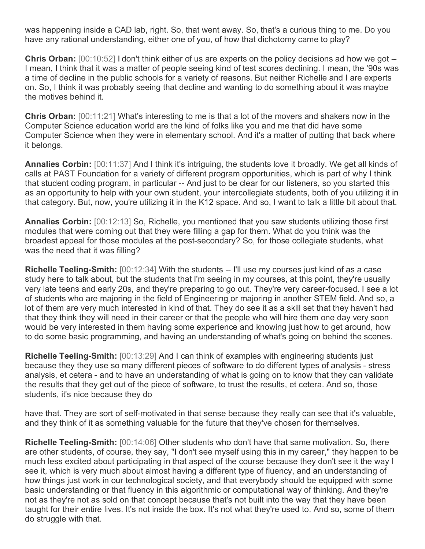was happening inside a CAD lab, right. So, that went away. So, that's a curious thing to me. Do you have any rational understanding, either one of you, of how that dichotomy came to play?

**Chris Orban:** [00:10:52] I don't think either of us are experts on the policy decisions ad how we got -- I mean, I think that it was a matter of people seeing kind of test scores declining. I mean, the '90s was a time of decline in the public schools for a variety of reasons. But neither Richelle and I are experts on. So, I think it was probably seeing that decline and wanting to do something about it was maybe the motives behind it.

**Chris Orban:** [00:11:21] What's interesting to me is that a lot of the movers and shakers now in the Computer Science education world are the kind of folks like you and me that did have some Computer Science when they were in elementary school. And it's a matter of putting that back where it belongs.

**Annalies Corbin:** [00:11:37] And I think it's intriguing, the students love it broadly. We get all kinds of calls at PAST Foundation for a variety of different program opportunities, which is part of why I think that student coding program, in particular -- And just to be clear for our listeners, so you started this as an opportunity to help with your own student, your intercollegiate students, both of you utilizing it in that category. But, now, you're utilizing it in the K12 space. And so, I want to talk a little bit about that.

**Annalies Corbin:** [00:12:13] So, Richelle, you mentioned that you saw students utilizing those first modules that were coming out that they were filling a gap for them. What do you think was the broadest appeal for those modules at the post-secondary? So, for those collegiate students, what was the need that it was filling?

**Richelle Teeling-Smith:** [00:12:34] With the students -- I'll use my courses just kind of as a case study here to talk about, but the students that I'm seeing in my courses, at this point, they're usually very late teens and early 20s, and they're preparing to go out. They're very career-focused. I see a lot of students who are majoring in the field of Engineering or majoring in another STEM field. And so, a lot of them are very much interested in kind of that. They do see it as a skill set that they haven't had that they think they will need in their career or that the people who will hire them one day very soon would be very interested in them having some experience and knowing just how to get around, how to do some basic programming, and having an understanding of what's going on behind the scenes.

**Richelle Teeling-Smith:** [00:13:29] And I can think of examples with engineering students just because they they use so many different pieces of software to do different types of analysis - stress analysis, et cetera - and to have an understanding of what is going on to know that they can validate the results that they get out of the piece of software, to trust the results, et cetera. And so, those students, it's nice because they do

have that. They are sort of self-motivated in that sense because they really can see that it's valuable, and they think of it as something valuable for the future that they've chosen for themselves.

**Richelle Teeling-Smith:** [00:14:06] Other students who don't have that same motivation. So, there are other students, of course, they say, "I don't see myself using this in my career," they happen to be much less excited about participating in that aspect of the course because they don't see it the way I see it, which is very much about almost having a different type of fluency, and an understanding of how things just work in our technological society, and that everybody should be equipped with some basic understanding or that fluency in this algorithmic or computational way of thinking. And they're not as they're not as sold on that concept because that's not built into the way that they have been taught for their entire lives. It's not inside the box. It's not what they're used to. And so, some of them do struggle with that.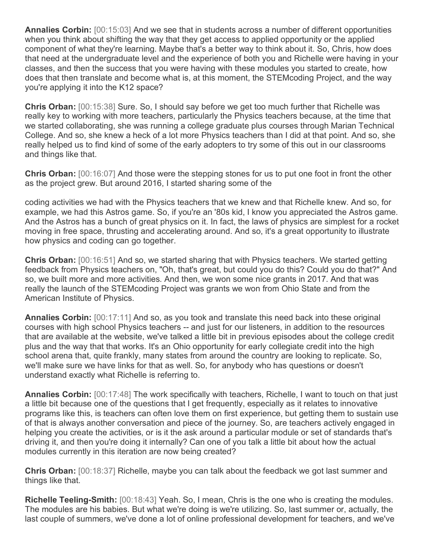**Annalies Corbin:** [00:15:03] And we see that in students across a number of different opportunities when you think about shifting the way that they get access to applied opportunity or the applied component of what they're learning. Maybe that's a better way to think about it. So, Chris, how does that need at the undergraduate level and the experience of both you and Richelle were having in your classes, and then the success that you were having with these modules you started to create, how does that then translate and become what is, at this moment, the STEMcoding Project, and the way you're applying it into the K12 space?

**Chris Orban:** [00:15:38] Sure. So, I should say before we get too much further that Richelle was really key to working with more teachers, particularly the Physics teachers because, at the time that we started collaborating, she was running a college graduate plus courses through Marian Technical College. And so, she knew a heck of a lot more Physics teachers than I did at that point. And so, she really helped us to find kind of some of the early adopters to try some of this out in our classrooms and things like that.

**Chris Orban:** [00:16:07] And those were the stepping stones for us to put one foot in front the other as the project grew. But around 2016, I started sharing some of the

coding activities we had with the Physics teachers that we knew and that Richelle knew. And so, for example, we had this Astros game. So, if you're an '80s kid, I know you appreciated the Astros game. And the Astros has a bunch of great physics on it. In fact, the laws of physics are simplest for a rocket moving in free space, thrusting and accelerating around. And so, it's a great opportunity to illustrate how physics and coding can go together.

**Chris Orban:** [00:16:51] And so, we started sharing that with Physics teachers. We started getting feedback from Physics teachers on, "Oh, that's great, but could you do this? Could you do that?" And so, we built more and more activities. And then, we won some nice grants in 2017. And that was really the launch of the STEMcoding Project was grants we won from Ohio State and from the American Institute of Physics.

**Annalies Corbin:** [00:17:11] And so, as you took and translate this need back into these original courses with high school Physics teachers -- and just for our listeners, in addition to the resources that are available at the website, we've talked a little bit in previous episodes about the college credit plus and the way that that works. It's an Ohio opportunity for early collegiate credit into the high school arena that, quite frankly, many states from around the country are looking to replicate. So, we'll make sure we have links for that as well. So, for anybody who has questions or doesn't understand exactly what Richelle is referring to.

**Annalies Corbin:** [00:17:48] The work specifically with teachers, Richelle, I want to touch on that just a little bit because one of the questions that I get frequently, especially as it relates to innovative programs like this, is teachers can often love them on first experience, but getting them to sustain use of that is always another conversation and piece of the journey. So, are teachers actively engaged in helping you create the activities, or is it the ask around a particular module or set of standards that's driving it, and then you're doing it internally? Can one of you talk a little bit about how the actual modules currently in this iteration are now being created?

**Chris Orban:** [00:18:37] Richelle, maybe you can talk about the feedback we got last summer and things like that.

**Richelle Teeling-Smith:** [00:18:43] Yeah. So, I mean, Chris is the one who is creating the modules. The modules are his babies. But what we're doing is we're utilizing. So, last summer or, actually, the last couple of summers, we've done a lot of online professional development for teachers, and we've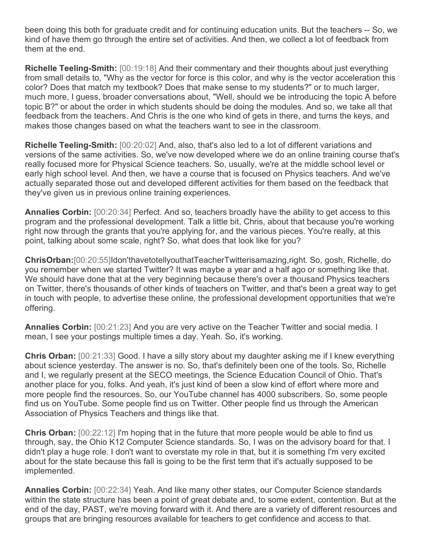been doing this both for graduate credit and for continuing education units. But the teachers -- So, we kind of have them go through the entire set of activities. And then, we collect a lot of feedback from them at the end.

**Richelle Teeling-Smith:** [00:19:18] And their commentary and their thoughts about just everything from small details to, "Why as the vector for force is this color, and why is the vector acceleration this color? Does that match my textbook? Does that make sense to my students?" or to much larger, much more, I guess, broader conversations about, "Well, should we be introducing the topic A before topic B?" or about the order in which students should be doing the modules. And so, we take all that feedback from the teachers. And Chris is the one who kind of gets in there, and turns the keys, and makes those changes based on what the teachers want to see in the classroom.

**Richelle Teeling-Smith:** [00:20:02] And, also, that's also led to a lot of different variations and versions of the same activities. So, we've now developed where we do an online training course that's really focused more for Physical Science teachers. So, usually, we're at the middle school level or early high school level. And then, we have a course that is focused on Physics teachers. And we've actually separated those out and developed different activities for them based on the feedback that they've given us in previous online training experiences.

**Annalies Corbin:** [00:20:34] Perfect. And so, teachers broadly have the ability to get access to this program and the professional development. Talk a little bit, Chris, about that because you're working right now through the grants that you're applying for, and the various pieces. You're really, at this point, talking about some scale, right? So, what does that look like for you?

**ChrisOrban:**[00:20:55]Idon'thavetotellyouthatTeacherTwitterisamazing,right. So, gosh, Richelle, do you remember when we started Twitter? It was maybe a year and a half ago or something like that. We should have done that at the very beginning because there's over a thousand Physics teachers on Twitter, there's thousands of other kinds of teachers on Twitter, and that's been a great way to get in touch with people, to advertise these online, the professional development opportunities that we're offering.

**Annalies Corbin:** [00:21:23] And you are very active on the Teacher Twitter and social media. I mean, I see your postings multiple times a day. Yeah. So, it's working.

**Chris Orban:** [00:21:33] Good. I have a silly story about my daughter asking me if I knew everything about science yesterday. The answer is no. So, that's definitely been one of the tools. So, Richelle and I, we regularly present at the SECO meetings, the Science Education Council of Ohio. That's another place for you, folks. And yeah, it's just kind of been a slow kind of effort where more and more people find the resources. So, our YouTube channel has 4000 subscribers. So, some people find us on YouTube. Some people find us on Twitter. Other people find us through the American Association of Physics Teachers and things like that.

**Chris Orban:** [00:22:12] I'm hoping that in the future that more people would be able to find us through, say, the Ohio K12 Computer Science standards. So, I was on the advisory board for that. I didn't play a huge role. I don't want to overstate my role in that, but it is something I'm very excited about for the state because this fall is going to be the first term that it's actually supposed to be implemented.

**Annalies Corbin:** [00:22:34] Yeah. And like many other states, our Computer Science standards within the state structure has been a point of great debate and, to some extent, contention. But at the end of the day, PAST, we're moving forward with it. And there are a variety of different resources and groups that are bringing resources available for teachers to get confidence and access to that.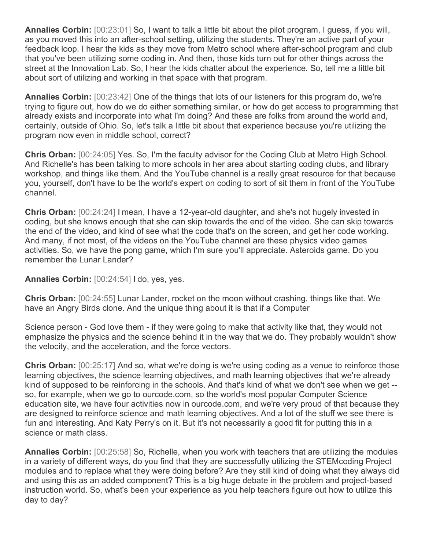**Annalies Corbin:** [00:23:01] So, I want to talk a little bit about the pilot program, I guess, if you will, as you moved this into an after-school setting, utilizing the students. They're an active part of your feedback loop. I hear the kids as they move from Metro school where after-school program and club that you've been utilizing some coding in. And then, those kids turn out for other things across the street at the Innovation Lab. So, I hear the kids chatter about the experience. So, tell me a little bit about sort of utilizing and working in that space with that program.

**Annalies Corbin:** [00:23:42] One of the things that lots of our listeners for this program do, we're trying to figure out, how do we do either something similar, or how do get access to programming that already exists and incorporate into what I'm doing? And these are folks from around the world and, certainly, outside of Ohio. So, let's talk a little bit about that experience because you're utilizing the program now even in middle school, correct?

**Chris Orban:** [00:24:05] Yes. So, I'm the faculty advisor for the Coding Club at Metro High School. And Richelle's has been talking to more schools in her area about starting coding clubs, and library workshop, and things like them. And the YouTube channel is a really great resource for that because you, yourself, don't have to be the world's expert on coding to sort of sit them in front of the YouTube channel.

**Chris Orban:** [00:24:24] I mean, I have a 12-year-old daughter, and she's not hugely invested in coding, but she knows enough that she can skip towards the end of the video. She can skip towards the end of the video, and kind of see what the code that's on the screen, and get her code working. And many, if not most, of the videos on the YouTube channel are these physics video games activities. So, we have the pong game, which I'm sure you'll appreciate. Asteroids game. Do you remember the Lunar Lander?

**Annalies Corbin:** [00:24:54] I do, yes, yes.

**Chris Orban:** [00:24:55] Lunar Lander, rocket on the moon without crashing, things like that. We have an Angry Birds clone. And the unique thing about it is that if a Computer

Science person - God love them - if they were going to make that activity like that, they would not emphasize the physics and the science behind it in the way that we do. They probably wouldn't show the velocity, and the acceleration, and the force vectors.

**Chris Orban:** [00:25:17] And so, what we're doing is we're using coding as a venue to reinforce those learning objectives, the science learning objectives, and math learning objectives that we're already kind of supposed to be reinforcing in the schools. And that's kind of what we don't see when we get - so, for example, when we go to ourcode.com, so the world's most popular Computer Science education site, we have four activities now in ourcode.com, and we're very proud of that because they are designed to reinforce science and math learning objectives. And a lot of the stuff we see there is fun and interesting. And Katy Perry's on it. But it's not necessarily a good fit for putting this in a science or math class.

**Annalies Corbin:** [00:25:58] So, Richelle, when you work with teachers that are utilizing the modules in a variety of different ways, do you find that they are successfully utilizing the STEMcoding Project modules and to replace what they were doing before? Are they still kind of doing what they always did and using this as an added component? This is a big huge debate in the problem and project-based instruction world. So, what's been your experience as you help teachers figure out how to utilize this day to day?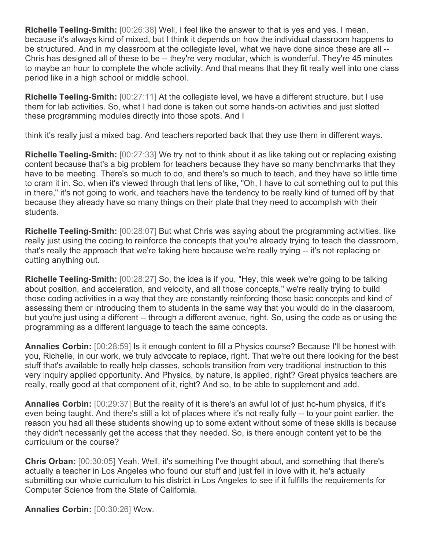**Richelle Teeling-Smith:** [00:26:38] Well, I feel like the answer to that is yes and yes. I mean, because it's always kind of mixed, but I think it depends on how the individual classroom happens to be structured. And in my classroom at the collegiate level, what we have done since these are all -- Chris has designed all of these to be -- they're very modular, which is wonderful. They're 45 minutes to maybe an hour to complete the whole activity. And that means that they fit really well into one class period like in a high school or middle school.

**Richelle Teeling-Smith:** [00:27:11] At the collegiate level, we have a different structure, but I use them for lab activities. So, what I had done is taken out some hands-on activities and just slotted these programming modules directly into those spots. And I

think it's really just a mixed bag. And teachers reported back that they use them in different ways.

**Richelle Teeling-Smith:** [00:27:33] We try not to think about it as like taking out or replacing existing content because that's a big problem for teachers because they have so many benchmarks that they have to be meeting. There's so much to do, and there's so much to teach, and they have so little time to cram it in. So, when it's viewed through that lens of like, "Oh, I have to cut something out to put this in there," it's not going to work, and teachers have the tendency to be really kind of turned off by that because they already have so many things on their plate that they need to accomplish with their students.

**Richelle Teeling-Smith:** [00:28:07] But what Chris was saying about the programming activities, like really just using the coding to reinforce the concepts that you're already trying to teach the classroom, that's really the approach that we're taking here because we're really trying -- it's not replacing or cutting anything out.

**Richelle Teeling-Smith:** [00:28:27] So, the idea is if you, "Hey, this week we're going to be talking about position, and acceleration, and velocity, and all those concepts," we're really trying to build those coding activities in a way that they are constantly reinforcing those basic concepts and kind of assessing them or introducing them to students in the same way that you would do in the classroom, but you're just using a different -- through a different avenue, right. So, using the code as or using the programming as a different language to teach the same concepts.

**Annalies Corbin:** [00:28:59] Is it enough content to fill a Physics course? Because I'll be honest with you, Richelle, in our work, we truly advocate to replace, right. That we're out there looking for the best stuff that's available to really help classes, schools transition from very traditional instruction to this very inquiry applied opportunity. And Physics, by nature, is applied, right? Great physics teachers are really, really good at that component of it, right? And so, to be able to supplement and add.

**Annalies Corbin:** [00:29:37] But the reality of it is there's an awful lot of just ho-hum physics, if it's even being taught. And there's still a lot of places where it's not really fully -- to your point earlier, the reason you had all these students showing up to some extent without some of these skills is because they didn't necessarily get the access that they needed. So, is there enough content yet to be the curriculum or the course?

**Chris Orban:** [00:30:05] Yeah. Well, it's something I've thought about, and something that there's actually a teacher in Los Angeles who found our stuff and just fell in love with it, he's actually submitting our whole curriculum to his district in Los Angeles to see if it fulfills the requirements for Computer Science from the State of California.

**Annalies Corbin:** [00:30:26] Wow.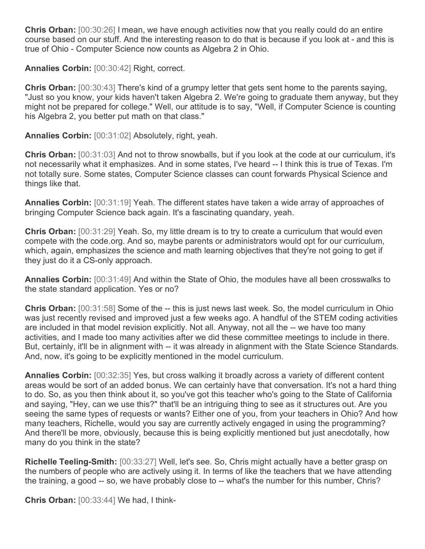**Chris Orban:** [00:30:26] I mean, we have enough activities now that you really could do an entire course based on our stuff. And the interesting reason to do that is because if you look at - and this is true of Ohio - Computer Science now counts as Algebra 2 in Ohio.

**Annalies Corbin:** [00:30:42] Right, correct.

**Chris Orban:** [00:30:43] There's kind of a grumpy letter that gets sent home to the parents saying, "Just so you know, your kids haven't taken Algebra 2. We're going to graduate them anyway, but they might not be prepared for college." Well, our attitude is to say, "Well, if Computer Science is counting his Algebra 2, you better put math on that class."

**Annalies Corbin:** [00:31:02] Absolutely, right, yeah.

**Chris Orban:** [00:31:03] And not to throw snowballs, but if you look at the code at our curriculum, it's not necessarily what it emphasizes. And in some states, I've heard -- I think this is true of Texas. I'm not totally sure. Some states, Computer Science classes can count forwards Physical Science and things like that.

**Annalies Corbin:** [00:31:19] Yeah. The different states have taken a wide array of approaches of bringing Computer Science back again. It's a fascinating quandary, yeah.

**Chris Orban:** [00:31:29] Yeah. So, my little dream is to try to create a curriculum that would even compete with the code.org. And so, maybe parents or administrators would opt for our curriculum, which, again, emphasizes the science and math learning objectives that they're not going to get if they just do it a CS-only approach.

**Annalies Corbin:** [00:31:49] And within the State of Ohio, the modules have all been crosswalks to the state standard application. Yes or no?

**Chris Orban:** [00:31:58] Some of the -- this is just news last week. So, the model curriculum in Ohio was just recently revised and improved just a few weeks ago. A handful of the STEM coding activities are included in that model revision explicitly. Not all. Anyway, not all the -- we have too many activities, and I made too many activities after we did these committee meetings to include in there. But, certainly, it'll be in alignment with -- it was already in alignment with the State Science Standards. And, now, it's going to be explicitly mentioned in the model curriculum.

**Annalies Corbin:** [00:32:35] Yes, but cross walking it broadly across a variety of different content areas would be sort of an added bonus. We can certainly have that conversation. It's not a hard thing to do. So, as you then think about it, so you've got this teacher who's going to the State of California and saying, "Hey, can we use this?" that'll be an intriguing thing to see as it structures out. Are you seeing the same types of requests or wants? Either one of you, from your teachers in Ohio? And how many teachers, Richelle, would you say are currently actively engaged in using the programming? And there'll be more, obviously, because this is being explicitly mentioned but just anecdotally, how many do you think in the state?

**Richelle Teeling-Smith:** [00:33:27] Well, let's see. So, Chris might actually have a better grasp on the numbers of people who are actively using it. In terms of like the teachers that we have attending the training, a good -- so, we have probably close to -- what's the number for this number, Chris?

**Chris Orban:** [00:33:44] We had, I think-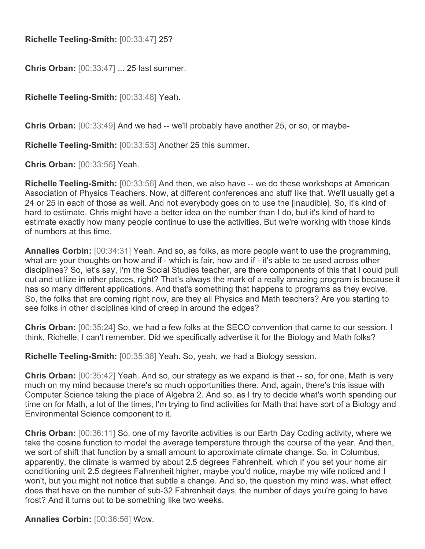**Richelle Teeling-Smith:** [00:33:47] 25?

**Chris Orban:** [00:33:47] ... 25 last summer.

**Richelle Teeling-Smith:** [00:33:48] Yeah.

**Chris Orban:** [00:33:49] And we had -- we'll probably have another 25, or so, or maybe-

**Richelle Teeling-Smith:** [00:33:53] Another 25 this summer.

**Chris Orban:** [00:33:56] Yeah.

**Richelle Teeling-Smith:** [00:33:56] And then, we also have -- we do these workshops at American Association of Physics Teachers. Now, at different conferences and stuff like that. We'll usually get a 24 or 25 in each of those as well. And not everybody goes on to use the [inaudible]. So, it's kind of hard to estimate. Chris might have a better idea on the number than I do, but it's kind of hard to estimate exactly how many people continue to use the activities. But we're working with those kinds of numbers at this time.

**Annalies Corbin:** [00:34:31] Yeah. And so, as folks, as more people want to use the programming, what are your thoughts on how and if - which is fair, how and if - it's able to be used across other disciplines? So, let's say, I'm the Social Studies teacher, are there components of this that I could pull out and utilize in other places, right? That's always the mark of a really amazing program is because it has so many different applications. And that's something that happens to programs as they evolve. So, the folks that are coming right now, are they all Physics and Math teachers? Are you starting to see folks in other disciplines kind of creep in around the edges?

**Chris Orban:** [00:35:24] So, we had a few folks at the SECO convention that came to our session. I think, Richelle, I can't remember. Did we specifically advertise it for the Biology and Math folks?

**Richelle Teeling-Smith:** [00:35:38] Yeah. So, yeah, we had a Biology session.

**Chris Orban:** [00:35:42] Yeah. And so, our strategy as we expand is that -- so, for one, Math is very much on my mind because there's so much opportunities there. And, again, there's this issue with Computer Science taking the place of Algebra 2. And so, as I try to decide what's worth spending our time on for Math, a lot of the times, I'm trying to find activities for Math that have sort of a Biology and Environmental Science component to it.

**Chris Orban:** [00:36:11] So, one of my favorite activities is our Earth Day Coding activity, where we take the cosine function to model the average temperature through the course of the year. And then, we sort of shift that function by a small amount to approximate climate change. So, in Columbus, apparently, the climate is warmed by about 2.5 degrees Fahrenheit, which if you set your home air conditioning unit 2.5 degrees Fahrenheit higher, maybe you'd notice, maybe my wife noticed and I won't, but you might not notice that subtle a change. And so, the question my mind was, what effect does that have on the number of sub-32 Fahrenheit days, the number of days you're going to have frost? And it turns out to be something like two weeks.

**Annalies Corbin:** [00:36:56] Wow.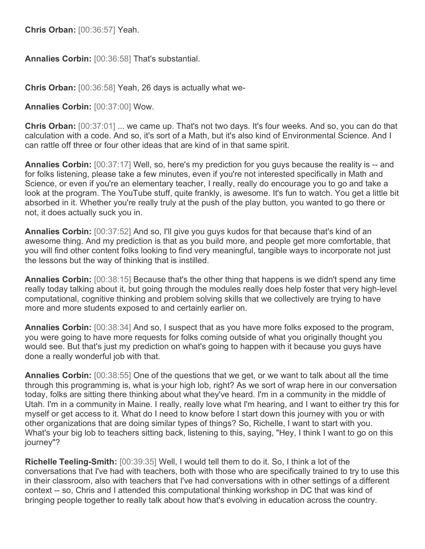**Chris Orban:** [00:36:57] Yeah.

**Annalies Corbin:** [00:36:58] That's substantial.

**Chris Orban:** [00:36:58] Yeah, 26 days is actually what we-

**Annalies Corbin:** [00:37:00] Wow.

**Chris Orban:** [00:37:01] ... we came up. That's not two days. It's four weeks. And so, you can do that calculation with a code. And so, it's sort of a Math, but it's also kind of Environmental Science. And I can rattle off three or four other ideas that are kind of in that same spirit.

**Annalies Corbin:** [00:37:17] Well, so, here's my prediction for you guys because the reality is -- and for folks listening, please take a few minutes, even if you're not interested specifically in Math and Science, or even if you're an elementary teacher, I really, really do encourage you to go and take a look at the program. The YouTube stuff, quite frankly, is awesome. It's fun to watch. You get a little bit absorbed in it. Whether you're really truly at the push of the play button, you wanted to go there or not, it does actually suck you in.

**Annalies Corbin:** [00:37:52] And so, I'll give you guys kudos for that because that's kind of an awesome thing. And my prediction is that as you build more, and people get more comfortable, that you will find other content folks looking to find very meaningful, tangible ways to incorporate not just the lessons but the way of thinking that is instilled.

**Annalies Corbin:** [00:38:15] Because that's the other thing that happens is we didn't spend any time really today talking about it, but going through the modules really does help foster that very high-level computational, cognitive thinking and problem solving skills that we collectively are trying to have more and more students exposed to and certainly earlier on.

**Annalies Corbin:** [00:38:34] And so, I suspect that as you have more folks exposed to the program, you were going to have more requests for folks coming outside of what you originally thought you would see. But that's just my prediction on what's going to happen with it because you guys have done a really wonderful job with that.

**Annalies Corbin:** [00:38:55] One of the questions that we get, or we want to talk about all the time through this programming is, what is your high lob, right? As we sort of wrap here in our conversation today, folks are sitting there thinking about what they've heard. I'm in a community in the middle of Utah. I'm in a community in Maine. I really, really love what I'm hearing, and I want to either try this for myself or get access to it. What do I need to know before I start down this journey with you or with other organizations that are doing similar types of things? So, Richelle, I want to start with you. What's your big lob to teachers sitting back, listening to this, saying, "Hey, I think I want to go on this journey"?

**Richelle Teeling-Smith:** [00:39:35] Well, I would tell them to do it. So, I think a lot of the conversations that I've had with teachers, both with those who are specifically trained to try to use this in their classroom, also with teachers that I've had conversations with in other settings of a different context -- so, Chris and I attended this computational thinking workshop in DC that was kind of bringing people together to really talk about how that's evolving in education across the country.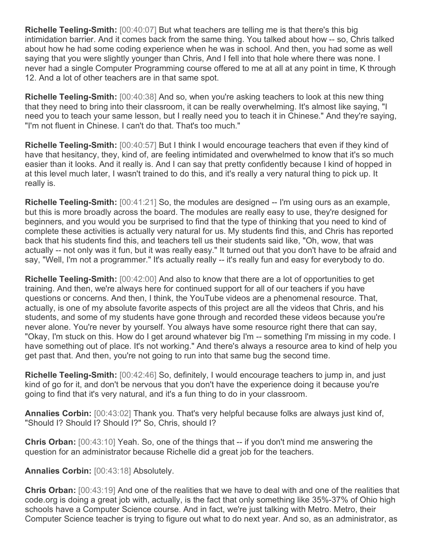**Richelle Teeling-Smith:** [00:40:07] But what teachers are telling me is that there's this big intimidation barrier. And it comes back from the same thing. You talked about how -- so, Chris talked about how he had some coding experience when he was in school. And then, you had some as well saying that you were slightly younger than Chris, And I fell into that hole where there was none. I never had a single Computer Programming course offered to me at all at any point in time, K through 12. And a lot of other teachers are in that same spot.

**Richelle Teeling-Smith:** [00:40:38] And so, when you're asking teachers to look at this new thing that they need to bring into their classroom, it can be really overwhelming. It's almost like saying, "I need you to teach your same lesson, but I really need you to teach it in Chinese." And they're saying, "I'm not fluent in Chinese. I can't do that. That's too much."

**Richelle Teeling-Smith:** [00:40:57] But I think I would encourage teachers that even if they kind of have that hesitancy, they, kind of, are feeling intimidated and overwhelmed to know that it's so much easier than it looks. And it really is. And I can say that pretty confidently because I kind of hopped in at this level much later, I wasn't trained to do this, and it's really a very natural thing to pick up. It really is.

**Richelle Teeling-Smith:** [00:41:21] So, the modules are designed -- I'm using ours as an example, but this is more broadly across the board. The modules are really easy to use, they're designed for beginners, and you would you be surprised to find that the type of thinking that you need to kind of complete these activities is actually very natural for us. My students find this, and Chris has reported back that his students find this, and teachers tell us their students said like, "Oh, wow, that was actually -- not only was it fun, but it was really easy." It turned out that you don't have to be afraid and say, "Well, I'm not a programmer." It's actually really -- it's really fun and easy for everybody to do.

**Richelle Teeling-Smith:** [00:42:00] And also to know that there are a lot of opportunities to get training. And then, we're always here for continued support for all of our teachers if you have questions or concerns. And then, I think, the YouTube videos are a phenomenal resource. That, actually, is one of my absolute favorite aspects of this project are all the videos that Chris, and his students, and some of my students have gone through and recorded these videos because you're never alone. You're never by yourself. You always have some resource right there that can say, "Okay, I'm stuck on this. How do I get around whatever big I'm -- something I'm missing in my code. I have something out of place. It's not working." And there's always a resource area to kind of help you get past that. And then, you're not going to run into that same bug the second time.

**Richelle Teeling-Smith:** [00:42:46] So, definitely, I would encourage teachers to jump in, and just kind of go for it, and don't be nervous that you don't have the experience doing it because you're going to find that it's very natural, and it's a fun thing to do in your classroom.

**Annalies Corbin:** [00:43:02] Thank you. That's very helpful because folks are always just kind of, "Should I? Should I? Should I?" So, Chris, should I?

**Chris Orban:** [00:43:10] Yeah. So, one of the things that -- if you don't mind me answering the question for an administrator because Richelle did a great job for the teachers.

**Annalies Corbin:** [00:43:18] Absolutely.

**Chris Orban:** [00:43:19] And one of the realities that we have to deal with and one of the realities that code.org is doing a great job with, actually, is the fact that only something like 35%-37% of Ohio high schools have a Computer Science course. And in fact, we're just talking with Metro. Metro, their Computer Science teacher is trying to figure out what to do next year. And so, as an administrator, as